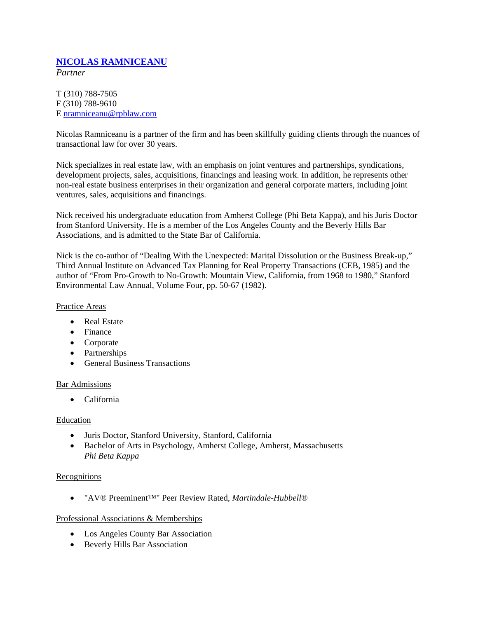# **NICOLAS RAMNICEANU**

*Partner*

T (310) 788-7505 F (310) 788-9610 E nramniceanu@rpblaw.com

Nicolas Ramniceanu is a partner of the firm and has been skillfully guiding clients through the nuances of transactional law for over 30 years.

Nick specializes in real estate law, with an emphasis on joint ventures and partnerships, syndications, development projects, sales, acquisitions, financings and leasing work. In addition, he represents other non-real estate business enterprises in their organization and general corporate matters, including joint ventures, sales, acquisitions and financings.

Nick received his undergraduate education from Amherst College (Phi Beta Kappa), and his Juris Doctor from Stanford University. He is a member of the Los Angeles County and the Beverly Hills Bar Associations, and is admitted to the State Bar of California.

Nick is the co-author of "Dealing With the Unexpected: Marital Dissolution or the Business Break-up," Third Annual Institute on Advanced Tax Planning for Real Property Transactions (CEB, 1985) and the author of "From Pro-Growth to No-Growth: Mountain View, California, from 1968 to 1980," Stanford Environmental Law Annual, Volume Four, pp. 50-67 (1982).

## Practice Areas

- Real Estate
- Finance
- Corporate
- Partnerships
- General Business Transactions

### Bar Admissions

• California

### Education

- Juris Doctor, Stanford University, Stanford, California
- Bachelor of Arts in Psychology, Amherst College, Amherst, Massachusetts *Phi Beta Kappa*

### **Recognitions**

• "AV® Preeminent™" Peer Review Rated, *Martindale-Hubbell*®

### Professional Associations & Memberships

- Los Angeles County Bar Association
- Beverly Hills Bar Association